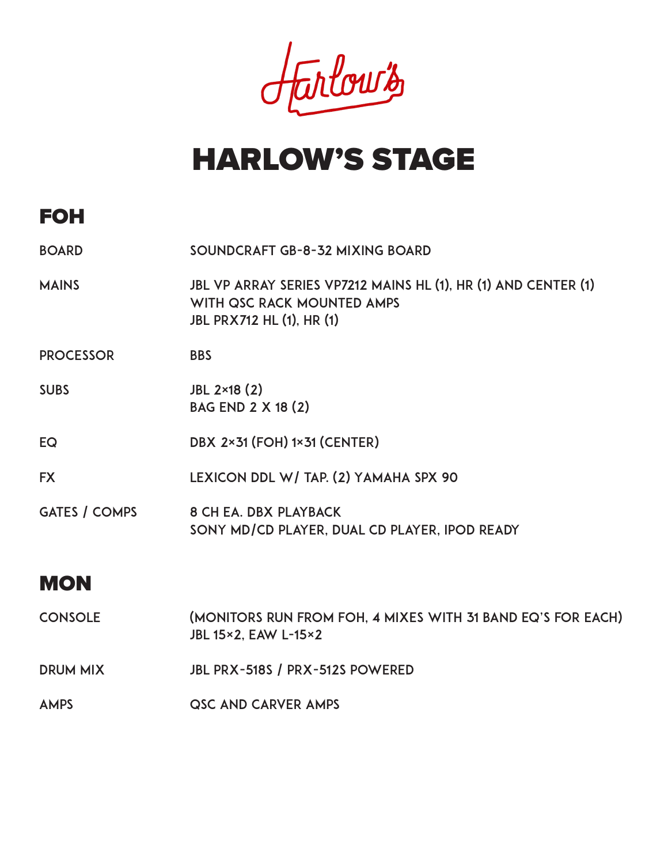Jarlows

# HARLOW'S STAGE

# FOH

| <b>BOARD</b>         | SOUNDCRAFT GB-8-32 MIXING BOARD                                                                                                  |
|----------------------|----------------------------------------------------------------------------------------------------------------------------------|
| <b>MAINS</b>         | JBL VP ARRAY SERIES VP7212 MAINS HL (1), HR (1) AND CENTER (1)<br>WITH QSC RACK MOUNTED AMPS<br><b>JBL PRX712 HL (1), HR (1)</b> |
| <b>PROCESSOR</b>     | <b>BBS</b>                                                                                                                       |
| <b>SUBS</b>          | JBL 2×18 (2)<br><b>BAG END 2 X 18 (2)</b>                                                                                        |
| EQ                   | <b>DBX 2×31 (FOH) 1×31 (CENTER)</b>                                                                                              |
| <b>FX</b>            | LEXICON DDL W/ TAP. (2) YAMAHA SPX 90                                                                                            |
| <b>GATES / COMPS</b> | <b>8 CH EA. DBX PLAYBACK</b><br>SONY MD/CD PLAYER, DUAL CD PLAYER, IPOD READY                                                    |

## **MON**

| <b>CONSOLE</b> | (MONITORS RUN FROM FOH, 4 MIXES WITH 31 BAND EQ'S FOR EACH)<br><b>JBL 15×2, EAW L-15×2</b> |
|----------------|--------------------------------------------------------------------------------------------|
| DRUM MIX       | JBL PRX-518S / PRX-512S POWERED                                                            |
| <b>AMPS</b>    | QSC AND CARVER AMPS                                                                        |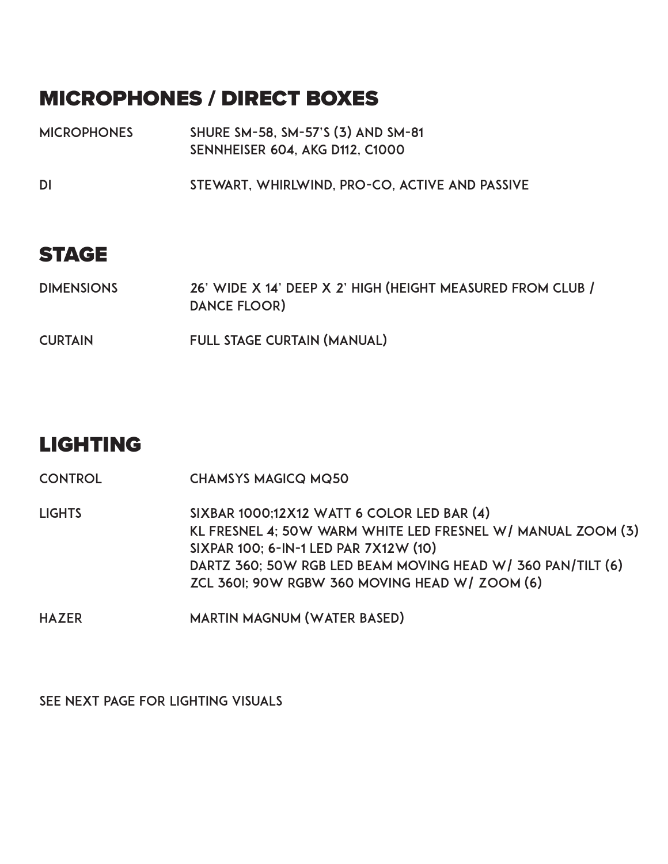## MICROPHONES / DIRECT BOXES

- **MICROPHONES** Shure SM-58, SM-57's (3) and SM-81 Sennheiser 604, AKG D112, C1000
- DI Stewart, Whirlwind, Pro-Co, active and passive

#### STAGE

| <b>DIMENSIONS</b> | 26' WIDE X 14' DEEP X 2' HIGH (HEIGHT MEASURED FROM CLUB / |
|-------------------|------------------------------------------------------------|
|                   | DANCE FLOOR)                                               |

CURTAIN Full stage curtain (manual)

#### LIGHTING

CONTROL ChamSys MagicQ MQ50

**LIGHTS** SIXBAR 1000;12x12 Watt 6 Color LED Bar (4) KL FRESNEL 4; 50W WARM WHITE LED FRESNEL W/ MANUAL ZOOM (3) SIXPAR 100; 6-IN-1 LED PAR 7X12W (10) DARTZ 360; 50W RGB LED Beam Moving Head w/ 360 pan/tilt (6) ZCL 360i; 90W RGBW 360 moving head w/ Zoom (6)

HAZER Martin Magnum (Water Based)

SEE NEXT PAGE FOR LIGHTing VISUALS